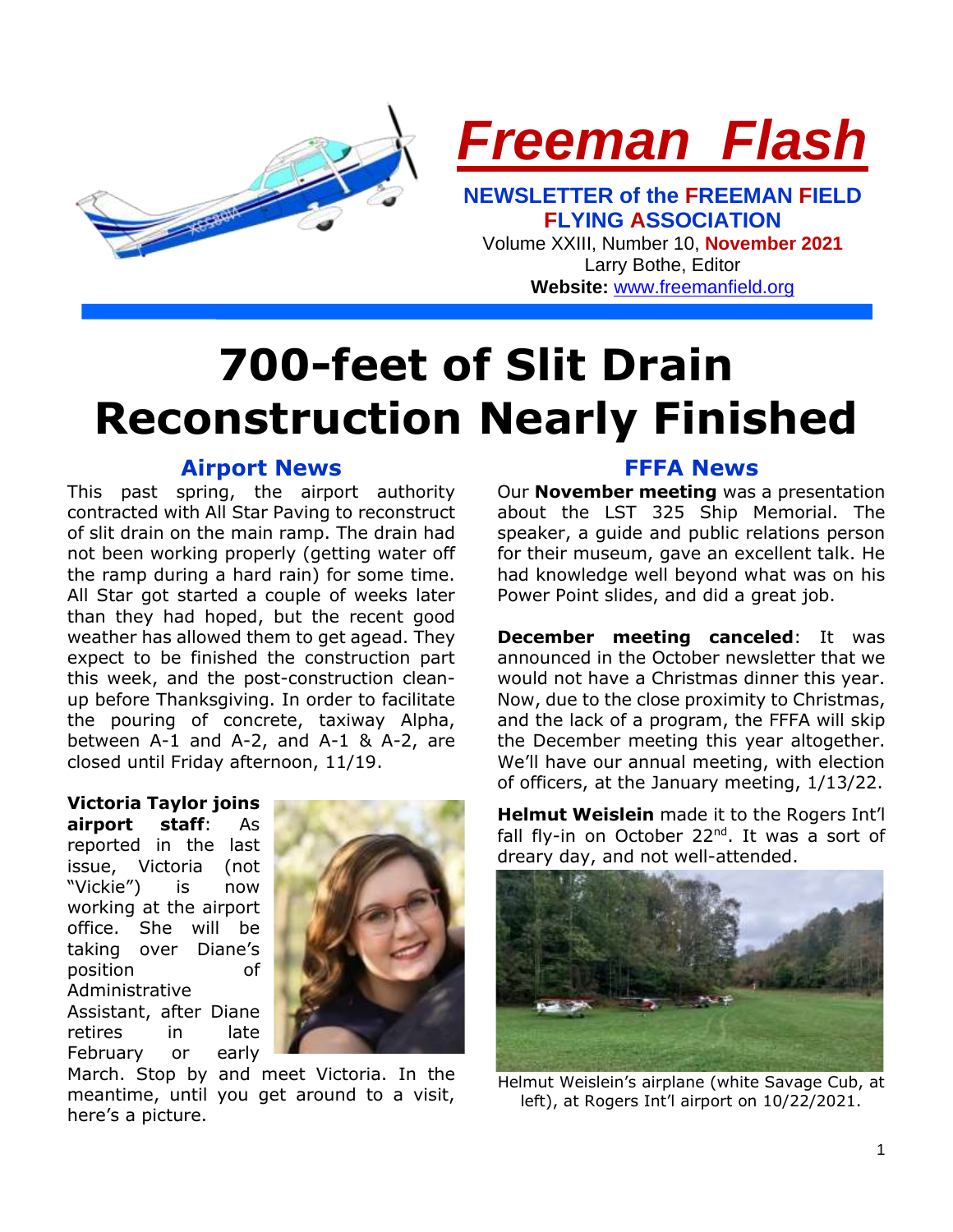



**NEWSLETTER of the FREEMAN FIELD FLYING ASSOCIATION** Volume XXIII, Number 10, **November 2021**

Larry Bothe, Editor **Website:** [www.freemanfield.org](http://www.freemanfield.org/)

# **700-feet of Slit Drain Reconstruction Nearly Finished**

## **Airport News**

This past spring, the airport authority contracted with All Star Paving to reconstruct of slit drain on the main ramp. The drain had not been working properly (getting water off the ramp during a hard rain) for some time. All Star got started a couple of weeks later than they had hoped, but the recent good weather has allowed them to get agead. They expect to be finished the construction part this week, and the post-construction cleanup before Thanksgiving. In order to facilitate the pouring of concrete, taxiway Alpha, between A-1 and A-2, and A-1 & A-2, are closed until Friday afternoon, 11/19.

**Victoria Taylor joins airport staff**: As reported in the last issue, Victoria (not "Vickie") is now working at the airport office. She will be taking over Diane's position of Administrative Assistant, after Diane retires in late February or early



March. Stop by and meet Victoria. In the meantime, until you get around to a visit, here's a picture.

## **FFFA News**

Our **November meeting** was a presentation about the LST 325 Ship Memorial. The speaker, a guide and public relations person for their museum, gave an excellent talk. He had knowledge well beyond what was on his Power Point slides, and did a great job.

**December meeting canceled:** It was announced in the October newsletter that we would not have a Christmas dinner this year. Now, due to the close proximity to Christmas, and the lack of a program, the FFFA will skip the December meeting this year altogether. We'll have our annual meeting, with election of officers, at the January meeting, 1/13/22.

**Helmut Weislein** made it to the Rogers Int'l fall fly-in on October 22<sup>nd</sup>. It was a sort of dreary day, and not well-attended.



Helmut Weislein's airplane (white Savage Cub, at left), at Rogers Int'l airport on 10/22/2021.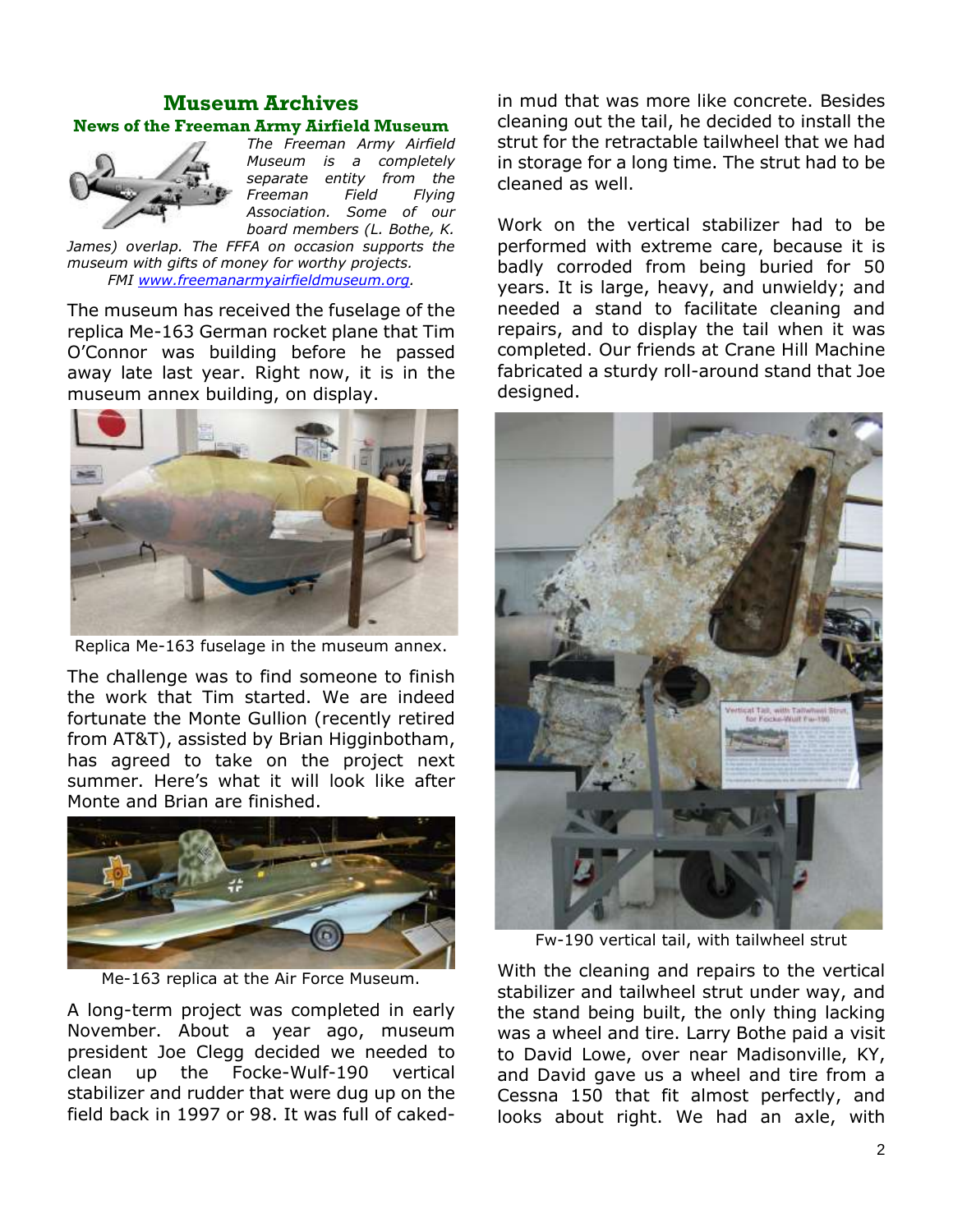## **Museum Archives News of the Freeman Army Airfield Museum**



*The Freeman Army Airfield Museum is a completely separate entity from the Freeman Field Flying Association. Some of our board members (L. Bothe, K.* 

*James) overlap. The FFFA on occasion supports the museum with gifts of money for worthy projects. FMI [www.freemanarmyairfieldmuseum.org.](http://www.freemanarmyairfieldmuseum.org/)*

The museum has received the fuselage of the replica Me-163 German rocket plane that Tim O'Connor was building before he passed away late last year. Right now, it is in the museum annex building, on display.



Replica Me-163 fuselage in the museum annex.

The challenge was to find someone to finish the work that Tim started. We are indeed fortunate the Monte Gullion (recently retired from AT&T), assisted by Brian Higginbotham, has agreed to take on the project next summer. Here's what it will look like after Monte and Brian are finished.



Me-163 replica at the Air Force Museum.

A long-term project was completed in early November. About a year ago, museum president Joe Clegg decided we needed to clean up the Focke-Wulf-190 vertical stabilizer and rudder that were dug up on the field back in 1997 or 98. It was full of caked-

in mud that was more like concrete. Besides cleaning out the tail, he decided to install the strut for the retractable tailwheel that we had in storage for a long time. The strut had to be cleaned as well.

Work on the vertical stabilizer had to be performed with extreme care, because it is badly corroded from being buried for 50 years. It is large, heavy, and unwieldy; and needed a stand to facilitate cleaning and repairs, and to display the tail when it was completed. Our friends at Crane Hill Machine fabricated a sturdy roll-around stand that Joe designed.



Fw-190 vertical tail, with tailwheel strut

With the cleaning and repairs to the vertical stabilizer and tailwheel strut under way, and the stand being built, the only thing lacking was a wheel and tire. Larry Bothe paid a visit to David Lowe, over near Madisonville, KY, and David gave us a wheel and tire from a Cessna 150 that fit almost perfectly, and looks about right. We had an axle, with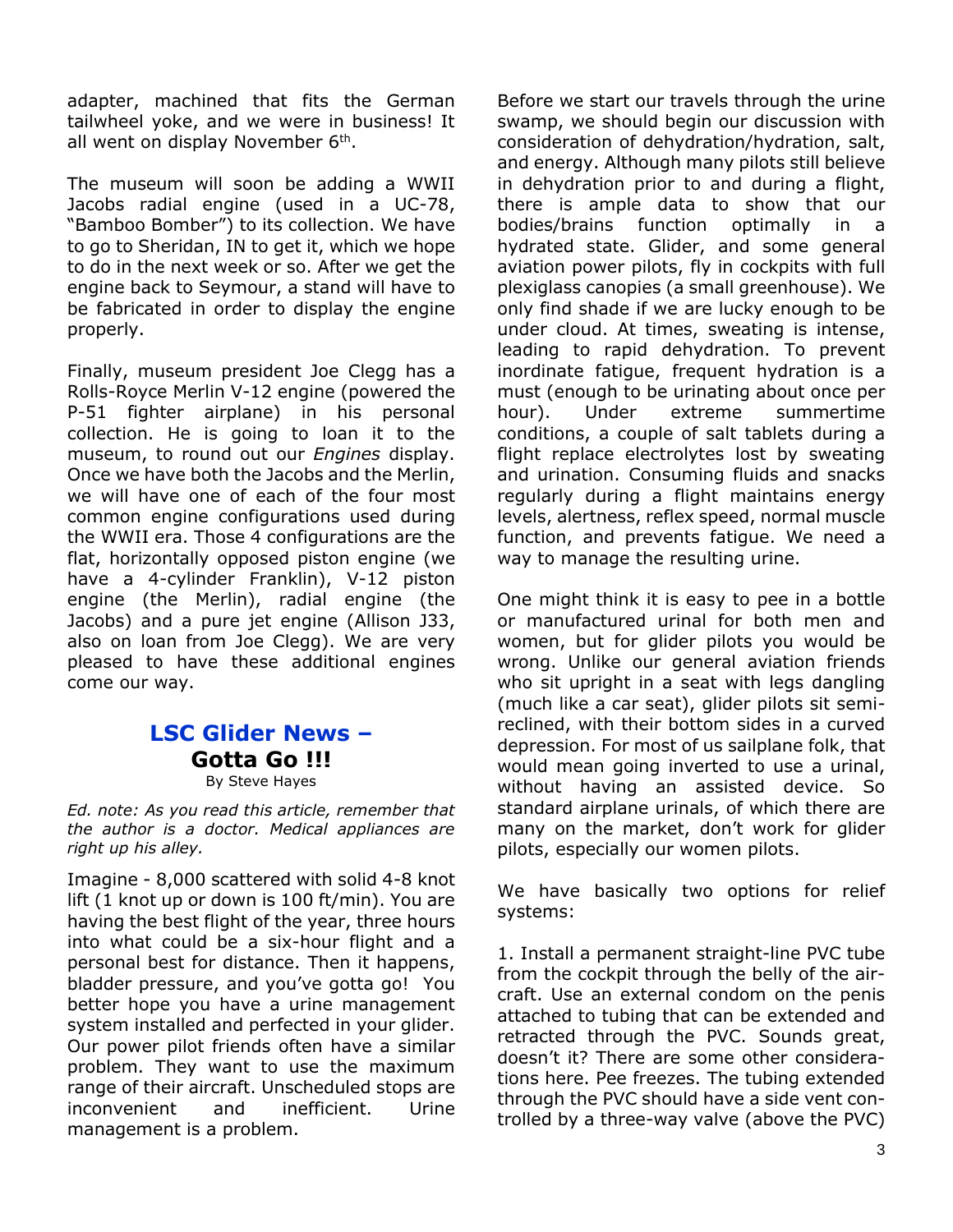adapter, machined that fits the German tailwheel yoke, and we were in business! It all went on display November  $6<sup>th</sup>$ .

The museum will soon be adding a WWII Jacobs radial engine (used in a UC-78, "Bamboo Bomber") to its collection. We have to go to Sheridan, IN to get it, which we hope to do in the next week or so. After we get the engine back to Seymour, a stand will have to be fabricated in order to display the engine properly.

Finally, museum president Joe Clegg has a Rolls-Royce Merlin V-12 engine (powered the P-51 fighter airplane) in his personal collection. He is going to loan it to the museum, to round out our *Engines* display. Once we have both the Jacobs and the Merlin, we will have one of each of the four most common engine configurations used during the WWII era. Those 4 configurations are the flat, horizontally opposed piston engine (we have a 4-cylinder Franklin), V-12 piston engine (the Merlin), radial engine (the Jacobs) and a pure jet engine (Allison J33, also on loan from Joe Clegg). We are very pleased to have these additional engines come our way.

### **LSC Glider News – Gotta Go !!!** By Steve Hayes

*Ed. note: As you read this article, remember that the author is a doctor. Medical appliances are right up his alley.*

Imagine - 8,000 scattered with solid 4-8 knot lift (1 knot up or down is 100 ft/min). You are having the best flight of the year, three hours into what could be a six-hour flight and a personal best for distance. Then it happens, bladder pressure, and you've gotta go! You better hope you have a urine management system installed and perfected in your glider. Our power pilot friends often have a similar problem. They want to use the maximum range of their aircraft. Unscheduled stops are inconvenient and inefficient. Urine management is a problem.

Before we start our travels through the urine swamp, we should begin our discussion with consideration of dehydration/hydration, salt, and energy. Although many pilots still believe in dehydration prior to and during a flight, there is ample data to show that our bodies/brains function optimally in a hydrated state. Glider, and some general aviation power pilots, fly in cockpits with full plexiglass canopies (a small greenhouse). We only find shade if we are lucky enough to be under cloud. At times, sweating is intense, leading to rapid dehydration. To prevent inordinate fatigue, frequent hydration is a must (enough to be urinating about once per hour). Under extreme summertime conditions, a couple of salt tablets during a flight replace electrolytes lost by sweating and urination. Consuming fluids and snacks regularly during a flight maintains energy levels, alertness, reflex speed, normal muscle function, and prevents fatigue. We need a way to manage the resulting urine.

One might think it is easy to pee in a bottle or manufactured urinal for both men and women, but for glider pilots you would be wrong. Unlike our general aviation friends who sit upright in a seat with legs dangling (much like a car seat), glider pilots sit semireclined, with their bottom sides in a curved depression. For most of us sailplane folk, that would mean going inverted to use a urinal, without having an assisted device. So standard airplane urinals, of which there are many on the market, don't work for glider pilots, especially our women pilots.

We have basically two options for relief systems:

1. Install a permanent straight-line PVC tube from the cockpit through the belly of the aircraft. Use an external condom on the penis attached to tubing that can be extended and retracted through the PVC. Sounds great, doesn't it? There are some other considerations here. Pee freezes. The tubing extended through the PVC should have a side vent controlled by a three-way valve (above the PVC)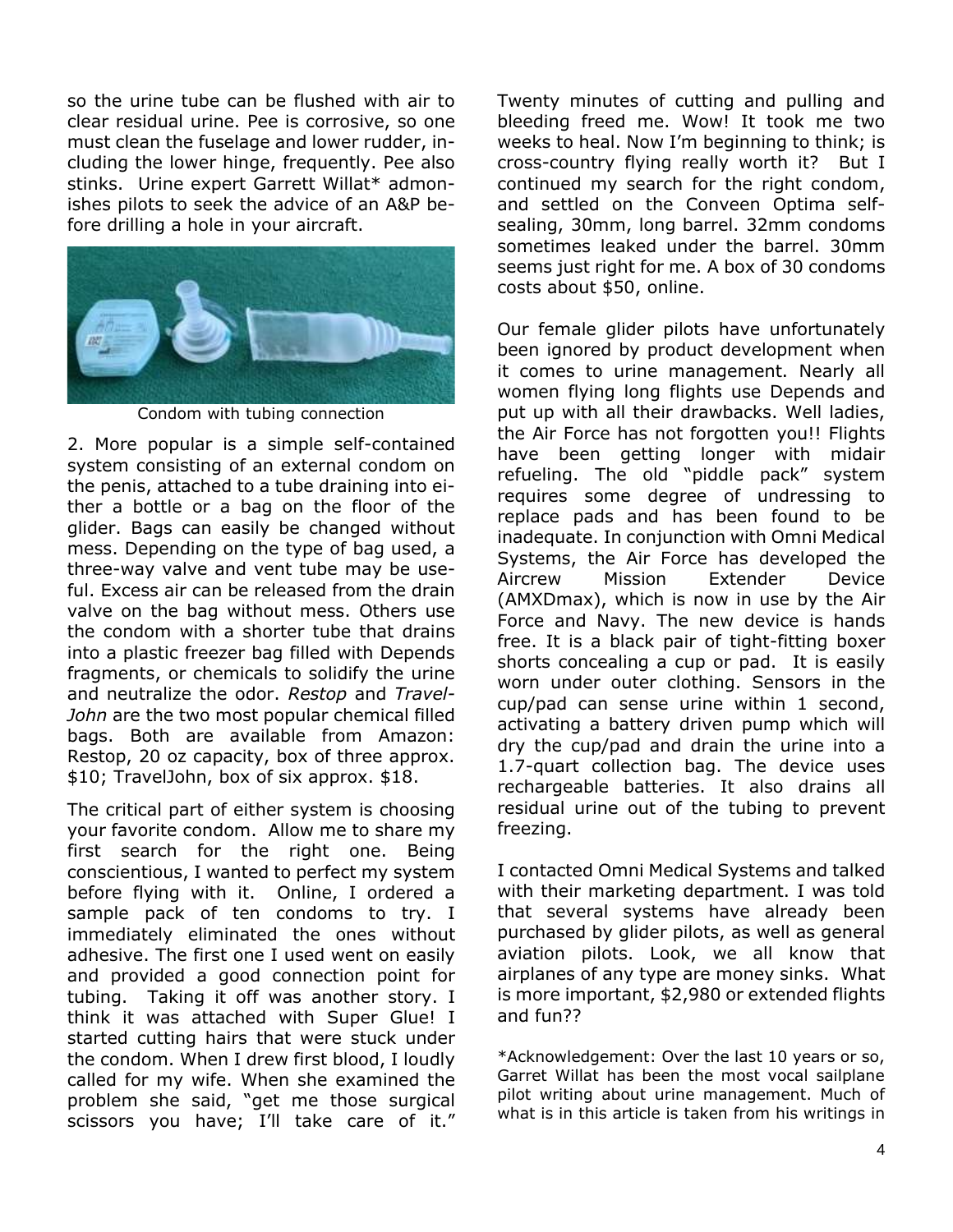so the urine tube can be flushed with air to clear residual urine. Pee is corrosive, so one must clean the fuselage and lower rudder, including the lower hinge, frequently. Pee also stinks. Urine expert Garrett Willat\* admonishes pilots to seek the advice of an A&P before drilling a hole in your aircraft.



Condom with tubing connection

2. More popular is a simple self-contained system consisting of an external condom on the penis, attached to a tube draining into either a bottle or a bag on the floor of the glider. Bags can easily be changed without mess. Depending on the type of bag used, a three-way valve and vent tube may be useful. Excess air can be released from the drain valve on the bag without mess. Others use the condom with a shorter tube that drains into a plastic freezer bag filled with Depends fragments, or chemicals to solidify the urine and neutralize the odor. *Restop* and *Travel-John* are the two most popular chemical filled bags. Both are available from Amazon: Restop, 20 oz capacity, box of three approx. \$10; TravelJohn, box of six approx. \$18.

The critical part of either system is choosing your favorite condom. Allow me to share my first search for the right one. Being conscientious, I wanted to perfect my system before flying with it. Online, I ordered a sample pack of ten condoms to try. I immediately eliminated the ones without adhesive. The first one I used went on easily and provided a good connection point for tubing. Taking it off was another story. I think it was attached with Super Glue! I started cutting hairs that were stuck under the condom. When I drew first blood, I loudly called for my wife. When she examined the problem she said, "get me those surgical scissors you have; I'll take care of it." Twenty minutes of cutting and pulling and bleeding freed me. Wow! It took me two weeks to heal. Now I'm beginning to think; is cross-country flying really worth it? But I continued my search for the right condom, and settled on the Conveen Optima selfsealing, 30mm, long barrel. 32mm condoms sometimes leaked under the barrel. 30mm seems just right for me. A box of 30 condoms costs about \$50, online.

Our female glider pilots have unfortunately been ignored by product development when it comes to urine management. Nearly all women flying long flights use Depends and put up with all their drawbacks. Well ladies, the Air Force has not forgotten you!! Flights have been getting longer with midair refueling. The old "piddle pack" system requires some degree of undressing to replace pads and has been found to be inadequate. In conjunction with Omni Medical Systems, the Air Force has developed the Aircrew Mission Extender Device (AMXDmax), which is now in use by the Air Force and Navy. The new device is hands free. It is a black pair of tight-fitting boxer shorts concealing a cup or pad. It is easily worn under outer clothing. Sensors in the cup/pad can sense urine within 1 second, activating a battery driven pump which will dry the cup/pad and drain the urine into a 1.7-quart collection bag. The device uses rechargeable batteries. It also drains all residual urine out of the tubing to prevent freezing.

I contacted Omni Medical Systems and talked with their marketing department. I was told that several systems have already been purchased by glider pilots, as well as general aviation pilots. Look, we all know that airplanes of any type are money sinks. What is more important, \$2,980 or extended flights and fun??

\*Acknowledgement: Over the last 10 years or so, Garret Willat has been the most vocal sailplane pilot writing about urine management. Much of what is in this article is taken from his writings in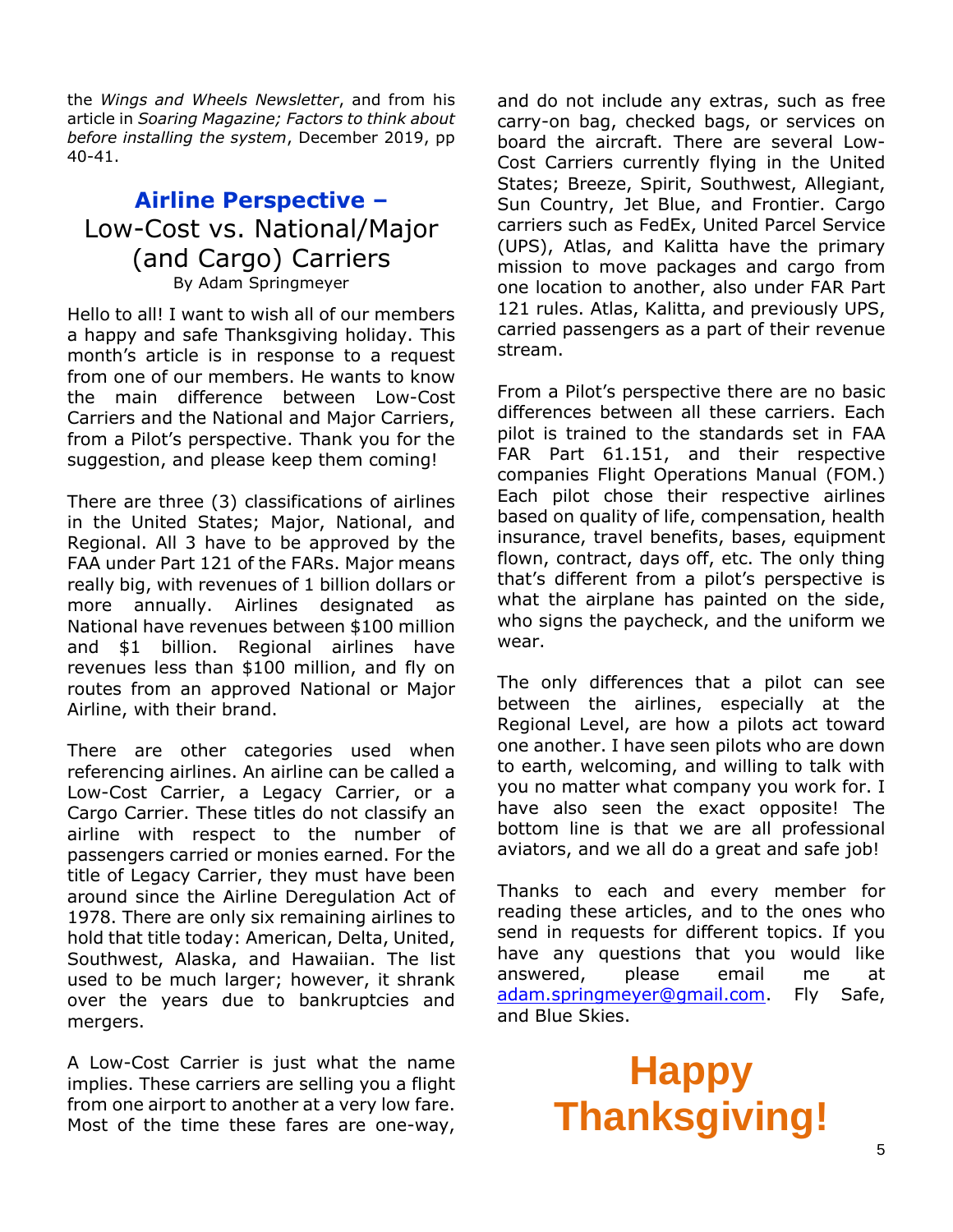the *Wings and Wheels Newsletter*, and from his article in *Soaring Magazine; Factors to think about before installing the system*, December 2019, pp 40-41.

## **Airline Perspective –** Low-Cost vs. National/Major (and Cargo) Carriers By Adam Springmeyer

Hello to all! I want to wish all of our members a happy and safe Thanksgiving holiday. This month's article is in response to a request from one of our members. He wants to know the main difference between Low-Cost Carriers and the National and Major Carriers, from a Pilot's perspective. Thank you for the suggestion, and please keep them coming!

There are three (3) classifications of airlines in the United States; Major, National, and Regional. All 3 have to be approved by the FAA under Part 121 of the FARs. Major means really big, with revenues of 1 billion dollars or more annually. Airlines designated as National have revenues between \$100 million and \$1 billion. Regional airlines have revenues less than \$100 million, and fly on routes from an approved National or Major Airline, with their brand.

There are other categories used when referencing airlines. An airline can be called a Low-Cost Carrier, a Legacy Carrier, or a Cargo Carrier. These titles do not classify an airline with respect to the number of passengers carried or monies earned. For the title of Legacy Carrier, they must have been around since the Airline Deregulation Act of 1978. There are only six remaining airlines to hold that title today: American, Delta, United, Southwest, Alaska, and Hawaiian. The list used to be much larger; however, it shrank over the years due to bankruptcies and mergers.

A Low-Cost Carrier is just what the name implies. These carriers are selling you a flight from one airport to another at a very low fare. Most of the time these fares are one-way,

and do not include any extras, such as free carry-on bag, checked bags, or services on board the aircraft. There are several Low-Cost Carriers currently flying in the United States; Breeze, Spirit, Southwest, Allegiant, Sun Country, Jet Blue, and Frontier. Cargo carriers such as FedEx, United Parcel Service (UPS), Atlas, and Kalitta have the primary mission to move packages and cargo from one location to another, also under FAR Part 121 rules. Atlas, Kalitta, and previously UPS, carried passengers as a part of their revenue stream.

From a Pilot's perspective there are no basic differences between all these carriers. Each pilot is trained to the standards set in FAA FAR Part 61.151, and their respective companies Flight Operations Manual (FOM.) Each pilot chose their respective airlines based on quality of life, compensation, health insurance, travel benefits, bases, equipment flown, contract, days off, etc. The only thing that's different from a pilot's perspective is what the airplane has painted on the side, who signs the paycheck, and the uniform we wear.

The only differences that a pilot can see between the airlines, especially at the Regional Level, are how a pilots act toward one another. I have seen pilots who are down to earth, welcoming, and willing to talk with you no matter what company you work for. I have also seen the exact opposite! The bottom line is that we are all professional aviators, and we all do a great and safe job!

Thanks to each and every member for reading these articles, and to the ones who send in requests for different topics. If you have any questions that you would like answered, please email me at [adam.springmeyer@gmail.com.](mailto:adam.springmeyer@gmail.com) Fly Safe, and Blue Skies.

## **Happy Thanksgiving!**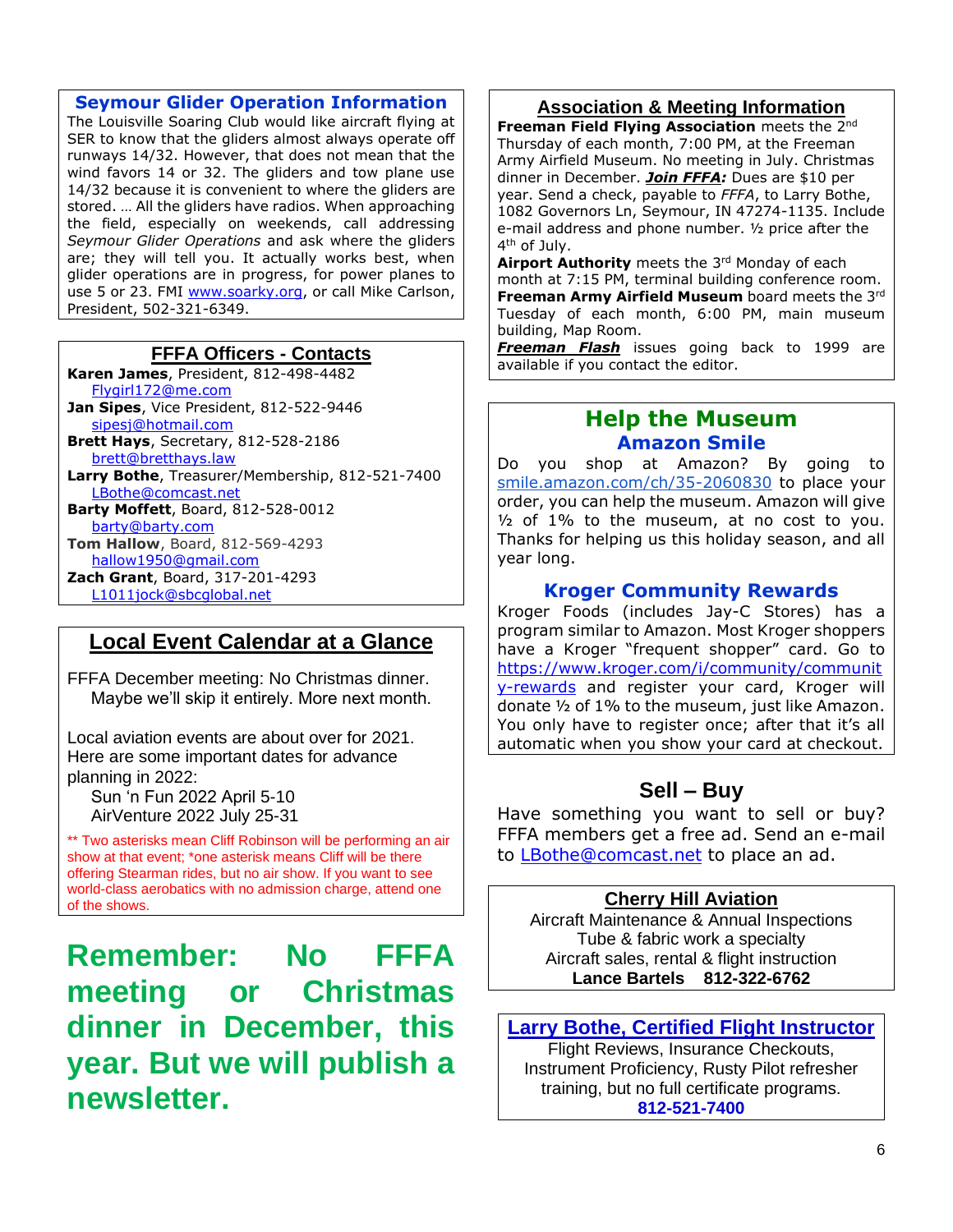#### **Seymour Glider Operation Information**

The Louisville Soaring Club would like aircraft flying at SER to know that the gliders almost always operate off runways 14/32. However, that does not mean that the wind favors 14 or 32. The gliders and tow plane use 14/32 because it is convenient to where the gliders are stored. … All the gliders have radios. When approaching the field, especially on weekends, call addressing *Seymour Glider Operations* and ask where the gliders are; they will tell you. It actually works best, when glider operations are in progress, for power planes to use 5 or 23. FMI [www.soarky.org,](http://www.soarky.org/) or call Mike Carlson, President, 502-321-6349.

#### **FFFA Officers - Contacts**

**Karen James**, President, 812-498-4482 [Flygirl172@me.com](mailto:Flygirl172@me.com) **Jan Sipes**, Vice President, 812-522-9446 [sipesj@hotmail.com](mailto:sipesj@hotmail.com) **Brett Hays**, Secretary, 812-528-2186 [brett@bretthays.law](mailto:brett@bretthays.law) **Larry Bothe**, Treasurer/Membership, 812-521-7400 [LBothe@comcast.net](mailto:LBothe@comcast.net) **Barty Moffett**, Board, 812-528-0012 [barty@barty.com](mailto:barty@barty.com) **Tom Hallow**, Board, 812-569-4293 [hallow1950@gmail.com](mailto:hallow1950@gmail.com) **Zach Grant**, Board, 317-201-4293 [L1011jock@sbcglobal.net](mailto:L1011jock@sbcglobal.net)

## **Local Event Calendar at a Glance**

FFFA December meeting: No Christmas dinner. Maybe we'll skip it entirely. More next month.

Local aviation events are about over for 2021. Here are some important dates for advance planning in 2022:

 Sun 'n Fun 2022 April 5-10 AirVenture 2022 July 25-31

\*\* Two asterisks mean Cliff Robinson will be performing an air show at that event; \*one asterisk means Cliff will be there offering Stearman rides, but no air show. If you want to see world-class aerobatics with no admission charge, attend one of the shows.

**Remember: No FFFA meeting or Christmas dinner in December, this year. But we will publish a newsletter.**

## **Association & Meeting Information**

**Freeman Field Flying Association** meets the 2nd Thursday of each month, 7:00 PM, at the Freeman Army Airfield Museum. No meeting in July. Christmas dinner in December. *Join FFFA:* Dues are \$10 per year. Send a check, payable to *FFFA*, to Larry Bothe, 1082 Governors Ln, Seymour, IN 47274-1135. Include e-mail address and phone number. ½ price after the 4<sup>th</sup> of July.

**Airport Authority** meets the 3<sup>rd</sup> Monday of each month at 7:15 PM, terminal building conference room. **Freeman Army Airfield Museum** board meets the 3rd Tuesday of each month, 6:00 PM, main museum building, Map Room.

*Freeman Flash* issues going back to 1999 are available if you contact the editor.

## **Help the Museum Amazon Smile**

Do you shop at Amazon? By going to [smile.amazon.com/ch/35-2060830](https://smile.amazon.com/gp/f.html?C=2G90H5KCIP85S&K=2VTXI0JVQ9P03&M=urn:rtn:msg:20200916150434fc881c11cab348d3a4f099162e20p0na&R=2UBM9H8M3BFTA&T=C&U=http%3A%2F%2FSMILE.AMAZON.COM%2Fch%2F35-2060830&H=CSZVRKAG4KHA6UFLZ5AQIJKTGP8A) to place your order, you can help the museum. Amazon will give  $1\frac{1}{2}$  of 1% to the museum, at no cost to you. Thanks for helping us this holiday season, and all year long.

#### **Kroger Community Rewards**

Kroger Foods (includes Jay-C Stores) has a program similar to Amazon. Most Kroger shoppers have a Kroger "frequent shopper" card. Go to [https://www.kroger.com/i/community/communit](https://www.kroger.com/i/community/community-rewards) [y-rewards](https://www.kroger.com/i/community/community-rewards) and register your card, Kroger will donate ½ of 1% to the museum, just like Amazon. You only have to register once; after that it's all automatic when you show your card at checkout.

## **Sell – Buy**

Have something you want to sell or buy? FFFA members get a free ad. Send an e-mail to **LBothe@comcast.net** to place an ad.

#### **Cherry Hill Aviation**

Aircraft Maintenance & Annual Inspections Tube & fabric work a specialty Aircraft sales, rental & flight instruction **Lance Bartels 812-322-6762**

### **Larry Bothe, Certified Flight Instructor**

Flight Reviews, Insurance Checkouts, Instrument Proficiency, Rusty Pilot refresher training, but no full certificate programs. **812-521-7400**